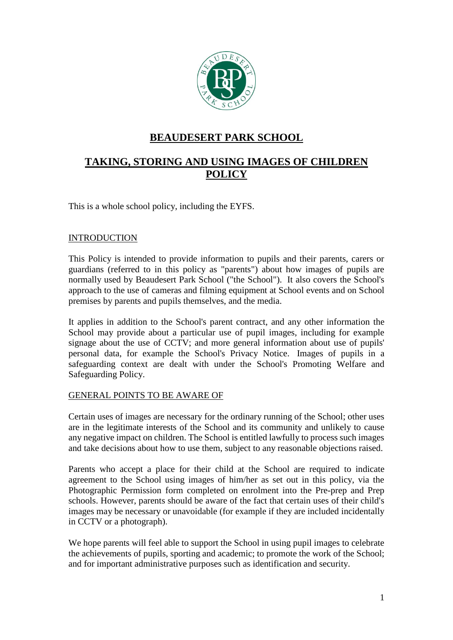

# **BEAUDESERT PARK SCHOOL**

# **TAKING, STORING AND USING IMAGES OF CHILDREN POLICY**

This is a whole school policy, including the EYFS.

# **INTRODUCTION**

This Policy is intended to provide information to pupils and their parents, carers or guardians (referred to in this policy as "parents") about how images of pupils are normally used by Beaudesert Park School ("the School"). It also covers the School's approach to the use of cameras and filming equipment at School events and on School premises by parents and pupils themselves, and the media.

It applies in addition to the School's parent contract, and any other information the School may provide about a particular use of pupil images, including for example signage about the use of CCTV; and more general information about use of pupils' personal data, for example the School's Privacy Notice. Images of pupils in a safeguarding context are dealt with under the School's Promoting Welfare and Safeguarding Policy.

## GENERAL POINTS TO BE AWARE OF

Certain uses of images are necessary for the ordinary running of the School; other uses are in the legitimate interests of the School and its community and unlikely to cause any negative impact on children. The School is entitled lawfully to process such images and take decisions about how to use them, subject to any reasonable objections raised.

Parents who accept a place for their child at the School are required to indicate agreement to the School using images of him/her as set out in this policy, via the Photographic Permission form completed on enrolment into the Pre-prep and Prep schools. However, parents should be aware of the fact that certain uses of their child's images may be necessary or unavoidable (for example if they are included incidentally in CCTV or a photograph).

We hope parents will feel able to support the School in using pupil images to celebrate the achievements of pupils, sporting and academic; to promote the work of the School; and for important administrative purposes such as identification and security.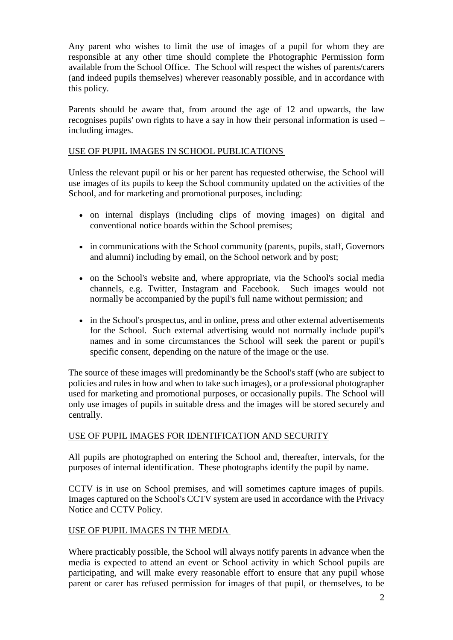Any parent who wishes to limit the use of images of a pupil for whom they are responsible at any other time should complete the Photographic Permission form available from the School Office. The School will respect the wishes of parents/carers (and indeed pupils themselves) wherever reasonably possible, and in accordance with this policy.

Parents should be aware that, from around the age of 12 and upwards, the law recognises pupils' own rights to have a say in how their personal information is used – including images.

#### USE OF PUPIL IMAGES IN SCHOOL PUBLICATIONS

Unless the relevant pupil or his or her parent has requested otherwise, the School will use images of its pupils to keep the School community updated on the activities of the School, and for marketing and promotional purposes, including:

- on internal displays (including clips of moving images) on digital and conventional notice boards within the School premises;
- in communications with the School community (parents, pupils, staff, Governors and alumni) including by email, on the School network and by post;
- on the School's website and, where appropriate, via the School's social media channels, e.g. Twitter, Instagram and Facebook. Such images would not normally be accompanied by the pupil's full name without permission; and
- in the School's prospectus, and in online, press and other external advertisements for the School. Such external advertising would not normally include pupil's names and in some circumstances the School will seek the parent or pupil's specific consent, depending on the nature of the image or the use.

The source of these images will predominantly be the School's staff (who are subject to policies and rules in how and when to take such images), or a professional photographer used for marketing and promotional purposes, or occasionally pupils. The School will only use images of pupils in suitable dress and the images will be stored securely and centrally.

## USE OF PUPIL IMAGES FOR IDENTIFICATION AND SECURITY

All pupils are photographed on entering the School and, thereafter, intervals, for the purposes of internal identification. These photographs identify the pupil by name.

CCTV is in use on School premises, and will sometimes capture images of pupils. Images captured on the School's CCTV system are used in accordance with the Privacy Notice and CCTV Policy.

## USE OF PUPIL IMAGES IN THE MEDIA

Where practicably possible, the School will always notify parents in advance when the media is expected to attend an event or School activity in which School pupils are participating, and will make every reasonable effort to ensure that any pupil whose parent or carer has refused permission for images of that pupil, or themselves, to be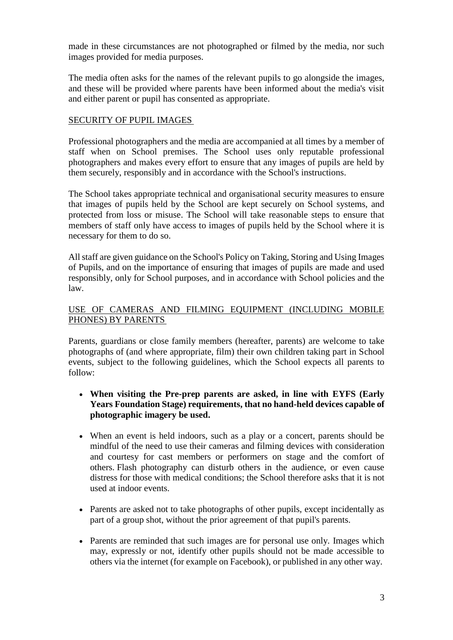made in these circumstances are not photographed or filmed by the media, nor such images provided for media purposes.

The media often asks for the names of the relevant pupils to go alongside the images, and these will be provided where parents have been informed about the media's visit and either parent or pupil has consented as appropriate.

# SECURITY OF PUPIL IMAGES

Professional photographers and the media are accompanied at all times by a member of staff when on School premises. The School uses only reputable professional photographers and makes every effort to ensure that any images of pupils are held by them securely, responsibly and in accordance with the School's instructions.

The School takes appropriate technical and organisational security measures to ensure that images of pupils held by the School are kept securely on School systems, and protected from loss or misuse. The School will take reasonable steps to ensure that members of staff only have access to images of pupils held by the School where it is necessary for them to do so.

All staff are given guidance on the School's Policy on Taking, Storing and Using Images of Pupils, and on the importance of ensuring that images of pupils are made and used responsibly, only for School purposes, and in accordance with School policies and the law.

# USE OF CAMERAS AND FILMING EQUIPMENT (INCLUDING MOBILE PHONES) BY PARENTS

Parents, guardians or close family members (hereafter, parents) are welcome to take photographs of (and where appropriate, film) their own children taking part in School events, subject to the following guidelines, which the School expects all parents to follow:

- **When visiting the Pre-prep parents are asked, in line with EYFS (Early Years Foundation Stage) requirements, that no hand-held devices capable of photographic imagery be used.**
- When an event is held indoors, such as a play or a concert, parents should be mindful of the need to use their cameras and filming devices with consideration and courtesy for cast members or performers on stage and the comfort of others. Flash photography can disturb others in the audience, or even cause distress for those with medical conditions; the School therefore asks that it is not used at indoor events.
- Parents are asked not to take photographs of other pupils, except incidentally as part of a group shot, without the prior agreement of that pupil's parents.
- Parents are reminded that such images are for personal use only. Images which may, expressly or not, identify other pupils should not be made accessible to others via the internet (for example on Facebook), or published in any other way.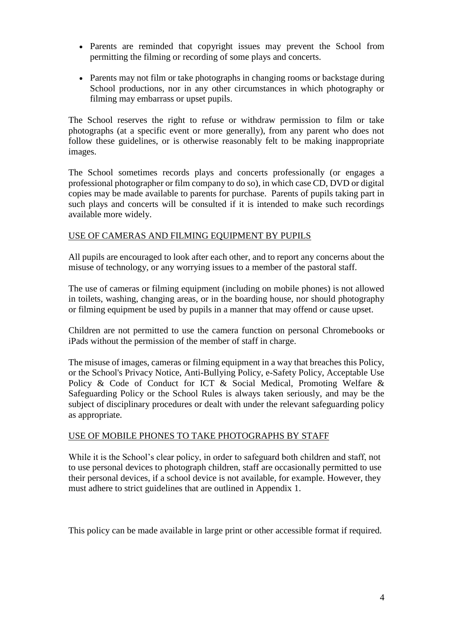- Parents are reminded that copyright issues may prevent the School from permitting the filming or recording of some plays and concerts.
- Parents may not film or take photographs in changing rooms or backstage during School productions, nor in any other circumstances in which photography or filming may embarrass or upset pupils.

The School reserves the right to refuse or withdraw permission to film or take photographs (at a specific event or more generally), from any parent who does not follow these guidelines, or is otherwise reasonably felt to be making inappropriate images.

The School sometimes records plays and concerts professionally (or engages a professional photographer or film company to do so), in which case CD, DVD or digital copies may be made available to parents for purchase. Parents of pupils taking part in such plays and concerts will be consulted if it is intended to make such recordings available more widely.

## USE OF CAMERAS AND FILMING EQUIPMENT BY PUPILS

All pupils are encouraged to look after each other, and to report any concerns about the misuse of technology, or any worrying issues to a member of the pastoral staff.

The use of cameras or filming equipment (including on mobile phones) is not allowed in toilets, washing, changing areas, or in the boarding house, nor should photography or filming equipment be used by pupils in a manner that may offend or cause upset.

Children are not permitted to use the camera function on personal Chromebooks or iPads without the permission of the member of staff in charge.

The misuse of images, cameras or filming equipment in a way that breaches this Policy, or the School's Privacy Notice, Anti-Bullying Policy, e-Safety Policy, Acceptable Use Policy & Code of Conduct for ICT & Social Medical, Promoting Welfare & Safeguarding Policy or the School Rules is always taken seriously, and may be the subject of disciplinary procedures or dealt with under the relevant safeguarding policy as appropriate.

## USE OF MOBILE PHONES TO TAKE PHOTOGRAPHS BY STAFF

While it is the School's clear policy, in order to safeguard both children and staff, not to use personal devices to photograph children, staff are occasionally permitted to use their personal devices, if a school device is not available, for example. However, they must adhere to strict guidelines that are outlined in Appendix 1.

This policy can be made available in large print or other accessible format if required.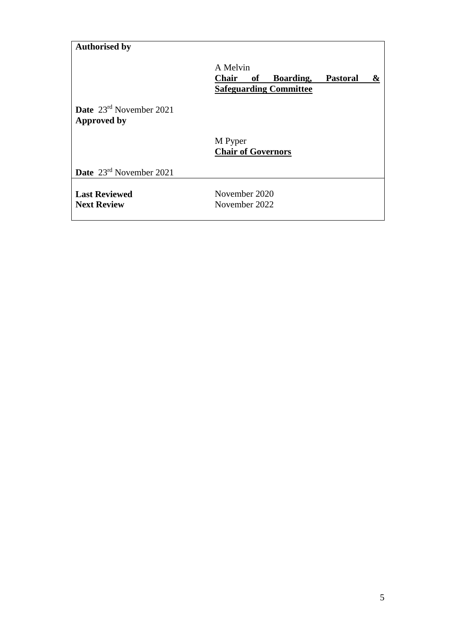# **Authorised by**

A Melvin **Chair of Boarding, Pastoral & Safeguarding Committee Date** 23rd November 2021 **Approved by** M Pyper **Chair of Governors Date** 23rd November 2021

**Last Reviewed Next Review**

November 2020 November 2022